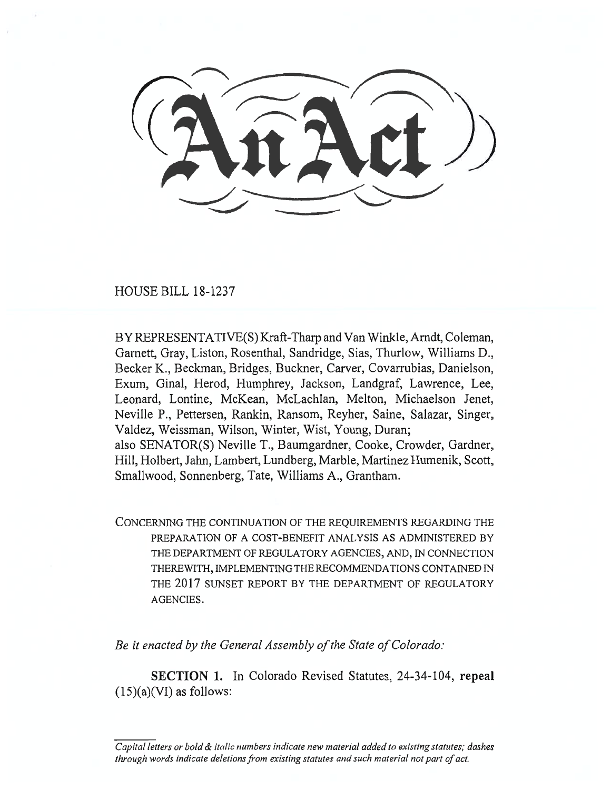HOUSE BILL 18-1237

BY REPRESENTATIVE(S) Kraft-Tharp and Van Winkle, Arndt, Coleman, Garnett, Gray, Liston, Rosenthal, Sandridge, Sias, Thurlow, Williams D., Becker K., Beckman, Bridges, Buckner, Carver, Covarrubias, Danielson, Exum, Ginal, Herod, Humphrey, Jackson, Landgraf, Lawrence, Lee, Leonard, Lontine, McKean, McLachlan, Melton, Michaelson Jenet, Neville P., Pettersen, Rankin, Ransom, Reyher, Saine, Salazar, Singer, Valdez, Weissman, Wilson, Winter, Wist, Young, Duran; also SENATOR(S) Neville T., Baumgardner, Cooke, Crowder, Gardner, Hill, Holbert, Jahn, Lambert, Lundberg, Marble, Martinez Humenik, Scott, Smallwood, Sonnenberg, Tate, Williams A., Grantham.

CONCERNING THE CONTINUATION OF THE REQUIREMENTS REGARDING THE PREPARATION OF A COST-BENEFIT ANALYSIS AS ADMINISTERED BY THE DEPARTMENT OF REGULATORY AGENCIES, AND, IN CONNECTION THEREWITH, IMPLEMENTING THE RECOMMENDATIONS CONTAINED IN THE 2017 SUNSET REPORT BY THE DEPARTMENT OF REGULATORY AGENCIES.

*Be it enacted by the General Assembly of the State of Colorado:* 

**SECTION 1.** In Colorado Revised Statutes, 24-34-104, **repeal**   $(15)(a)(VI)$  as follows:

*Capital letters or bold & italic numbers indicate new material added to existing statutes; dashes through words indicate deletions from existing statutes and such material not part of act.*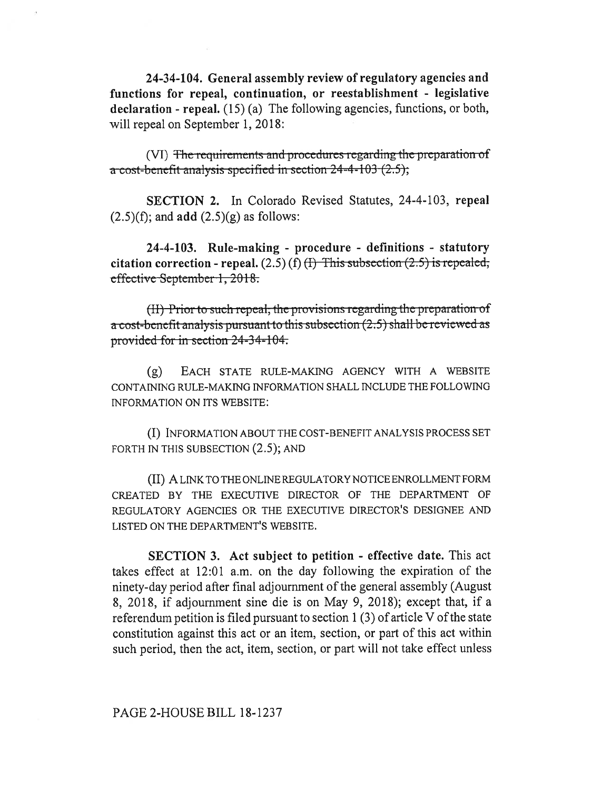**24-34-104. General assembly review of regulatory agencies and functions for repeal, continuation, or reestablishment - legislative declaration - repeal.** (15) (a) The following agencies, functions, or both, will repeal on September 1, 2018:

(VI) The requirements and procedures regarding the preparation of a cost-bcncfit analysis spccificd in scction 24-4-103(2.5),

**SECTION 2.** In Colorado Revised Statutes, 24-4-103, **repeal**  (2.5)(f); and **add** (2.5)(g) as follows:

**24-4-103. Rule-making - procedure - definitions - statutory**   $citation correction - repeat. (2.5) (f) ~~(I)~~ This subsection (2.5) is repeated;$ effective September 1, 2018.

 $(H)$  Prior to such repeal, the provisions regarding the preparation of a cost-benefit analysis pursuant to this subsection (2.5) shall be reviewed as provided for in section  $24 - 34 - 104$ .

(g) EACH STATE RULE-MAKING AGENCY WITH A WEBSITE CONTAINING RULE-MAKING INFORMATION SHALL INCLUDE THE FOLLOWING INFORMATION ON ITS WEBSITE:

(I) INFORMATION ABOUT THE COST-BENEFIT ANALYSIS PROCESS SET FORTH IN THIS SUBSECTION  $(2.5)$ ; AND

(II) A LINK TO THE ONLINE REGULATORY NOTICE ENROLLMENT FORM CREATED BY THE EXECUTIVE DIRECTOR OF THE DEPARTMENT OF REGULATORY AGENCIES OR THE EXECUTIVE DIRECTOR'S DESIGNEE AND LISTED ON THE DEPARTMENT'S WEBSITE.

**SECTION 3. Act subject to petition - effective date.** This act takes effect at 12:01 a.m. on the day following the expiration of the ninety-day period after final adjournment of the general assembly (August 8, 2018, if adjournment sine die is on May 9, 2018); except that, if a referendum petition is filed pursuant to section 1 (3) of article V of the state constitution against this act or an item, section, or part of this act within such period, then the act, item, section, or part will not take effect unless